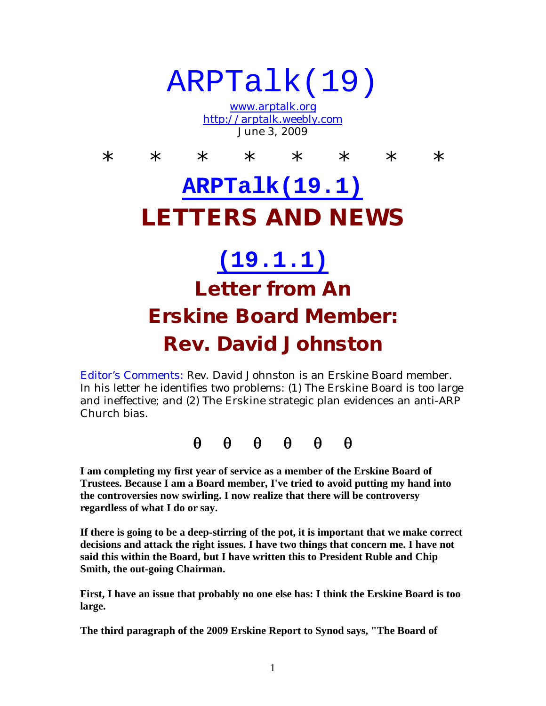# ARPTalk(19)

www.arptalk.org http://arptalk.weebly.com June 3, 2009

\* \* \* \* \* \* \* \* \* **ARPTalk(19.1) LETTERS AND NEWS (19.1.1) Letter from An Erskine Board Member:**

#### **Rev. David Johnston**

Editor's Comments: Rev. David Johnston is an Erskine Board member. In his letter he identifies two problems: (1) The Erskine Board is too large and ineffective; and (2) The Erskine strategic plan evidences an anti-ARP Church bias.

 $\theta$   $\theta$   $\theta$   $\theta$   $\theta$ 

**I am completing my first year of service as a member of the Erskine Board of Trustees. Because I am a Board member, I've tried to avoid putting my hand into the controversies now swirling. I now realize that there will be controversy regardless of what I do or say.**

**If there is going to be a deep-stirring of the pot, it is important that we make correct decisions and attack the right issues. I have two things that concern me. I have not said this within the Board, but I have written this to President Ruble and Chip Smith, the out-going Chairman.**

**First, I have an issue that probably no one else has: I think the Erskine Board is too large.**

**The third paragraph of the 2009 Erskine Report to Synod says, "The Board of**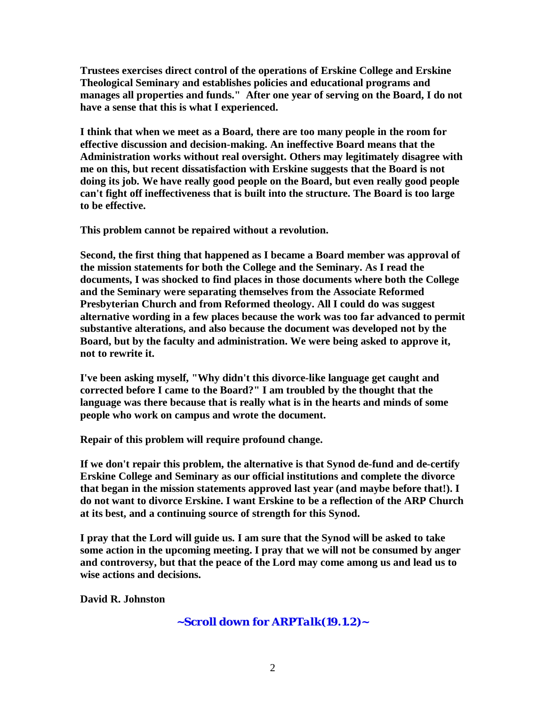**Trustees exercises direct control of the operations of Erskine College and Erskine Theological Seminary and establishes policies and educational programs and manages all properties and funds." After one year of serving on the Board, I do not have a sense that this is what I experienced.**

**I think that when we meet as a Board, there are too many people in the room for effective discussion and decision-making. An ineffective Board means that the Administration works without real oversight. Others may legitimately disagree with me on this, but recent dissatisfaction with Erskine suggests that the Board is not doing its job. We have really good people on the Board, but even really good people can't fight off ineffectiveness that is built into the structure. The Board is too large to be effective.**

**This problem cannot be repaired without a revolution.**

**Second, the first thing that happened as I became a Board member was approval of the mission statements for both the College and the Seminary. As I read the documents, I was shocked to find places in those documents where both the College and the Seminary were separating themselves from the Associate Reformed Presbyterian Church and from Reformed theology. All I could do was suggest alternative wording in a few places because the work was too far advanced to permit substantive alterations, and also because the document was developed not by the Board, but by the faculty and administration. We were being asked to approve it, not to rewrite it.**

**I've been asking myself, "Why didn't this divorce-like language get caught and corrected before I came to the Board?" I am troubled by the thought that the language was there because that is really what is in the hearts and minds of some people who work on campus and wrote the document.**

**Repair of this problem will require profound change.**

**If we don't repair this problem, the alternative is that Synod de-fund and de-certify Erskine College and Seminary as our official institutions and complete the divorce that began in the mission statements approved last year (and maybe before that!). I do not want to divorce Erskine. I want Erskine to be a reflection of the ARP Church at its best, and a continuing source of strength for this Synod.**

**I pray that the Lord will guide us. I am sure that the Synod will be asked to take some action in the upcoming meeting. I pray that we will not be consumed by anger and controversy, but that the peace of the Lord may come among us and lead us to wise actions and decisions.**

**David R. Johnston**

**~Scroll down for A***RPTalk(19.1.2)~*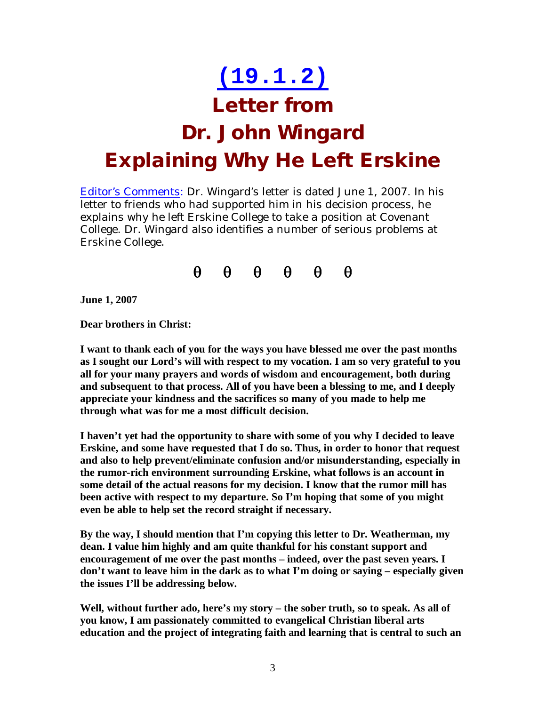#### **(19.1.2)**

#### **Letter from**

## **Dr. John Wingard Explaining Why He Left Erskine**

Editor's Comments: Dr. Wingard's letter is dated June 1, 2007. In his letter to friends who had supported him in his decision process, he explains why he left Erskine College to take a position at Covenant College. Dr. Wingard also identifies a number of serious problems at Erskine College.



**June 1, 2007**

**Dear brothers in Christ:**

**I want to thank each of you for the ways you have blessed me over the past months as I sought our Lord's will with respect to my vocation. I am so very grateful to you all for your many prayers and words of wisdom and encouragement, both during and subsequent to that process. All of you have been a blessing to me, and I deeply appreciate your kindness and the sacrifices so many of you made to help me through what was for me a most difficult decision.**

**I haven't yet had the opportunity to share with some of you why I decided to leave Erskine, and some have requested that I do so. Thus, in order to honor that request and also to help prevent/eliminate confusion and/or misunderstanding, especially in the rumor-rich environment surrounding Erskine, what follows is an account in some detail of the actual reasons for my decision. I know that the rumor mill has been active with respect to my departure. So I'm hoping that some of you might even be able to help set the record straight if necessary.**

**By the way, I should mention that I'm copying this letter to Dr. Weatherman, my dean. I value him highly and am quite thankful for his constant support and encouragement of me over the past months – indeed, over the past seven years. I don't want to leave him in the dark as to what I'm doing or saying – especially given the issues I'll be addressing below.**

**Well, without further ado, here's my story – the sober truth, so to speak. As all of you know, I am passionately committed to evangelical Christian liberal arts education and the project of integrating faith and learning that is central to such an**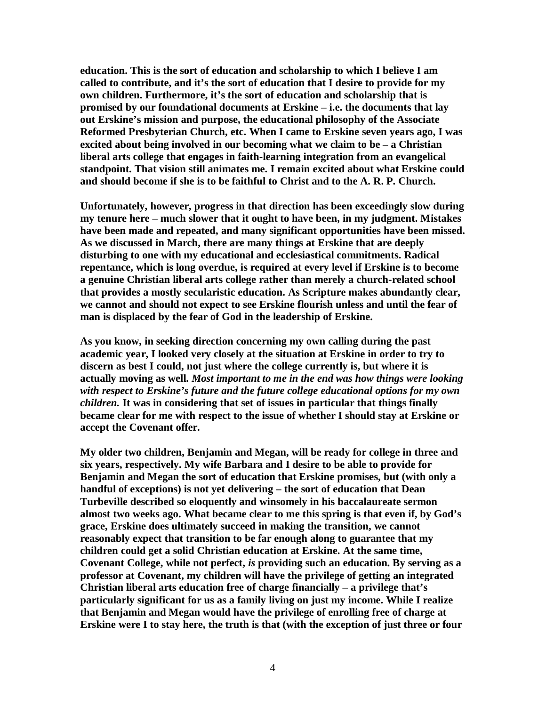**education. This is the sort of education and scholarship to which I believe I am called to contribute, and it's the sort of education that I desire to provide for my own children. Furthermore, it's the sort of education and scholarship that is promised by our foundational documents at Erskine – i.e. the documents that lay out Erskine's mission and purpose, the educational philosophy of the Associate Reformed Presbyterian Church, etc. When I came to Erskine seven years ago, I was excited about being involved in our becoming what we claim to be – a Christian liberal arts college that engages in faith-learning integration from an evangelical standpoint. That vision still animates me. I remain excited about what Erskine could and should become if she is to be faithful to Christ and to the A. R. P. Church.**

**Unfortunately, however, progress in that direction has been exceedingly slow during my tenure here – much slower that it ought to have been, in my judgment. Mistakes have been made and repeated, and many significant opportunities have been missed. As we discussed in March, there are many things at Erskine that are deeply disturbing to one with my educational and ecclesiastical commitments. Radical repentance, which is long overdue, is required at every level if Erskine is to become a genuine Christian liberal arts college rather than merely a church-related school that provides a mostly secularistic education. As Scripture makes abundantly clear, we cannot and should not expect to see Erskine flourish unless and until the fear of man is displaced by the fear of God in the leadership of Erskine.**

**As you know, in seeking direction concerning my own calling during the past academic year, I looked very closely at the situation at Erskine in order to try to discern as best I could, not just where the college currently is, but where it is actually moving as well.** *Most important to me in the end was how things were looking with respect to Erskine's future and the future college educational options for my own children.* **It was in considering that set of issues in particular that things finally became clear for me with respect to the issue of whether I should stay at Erskine or accept the Covenant offer.**

**My older two children, Benjamin and Megan, will be ready for college in three and six years, respectively. My wife Barbara and I desire to be able to provide for Benjamin and Megan the sort of education that Erskine promises, but (with only a handful of exceptions) is not yet delivering – the sort of education that Dean Turbeville described so eloquently and winsomely in his baccalaureate sermon almost two weeks ago. What became clear to me this spring is that even if, by God's grace, Erskine does ultimately succeed in making the transition, we cannot reasonably expect that transition to be far enough along to guarantee that my children could get a solid Christian education at Erskine. At the same time, Covenant College, while not perfect,** *is* **providing such an education. By serving as a professor at Covenant, my children will have the privilege of getting an integrated Christian liberal arts education free of charge financially – a privilege that's particularly significant for us as a family living on just my income. While I realize that Benjamin and Megan would have the privilege of enrolling free of charge at Erskine were I to stay here, the truth is that (with the exception of just three or four**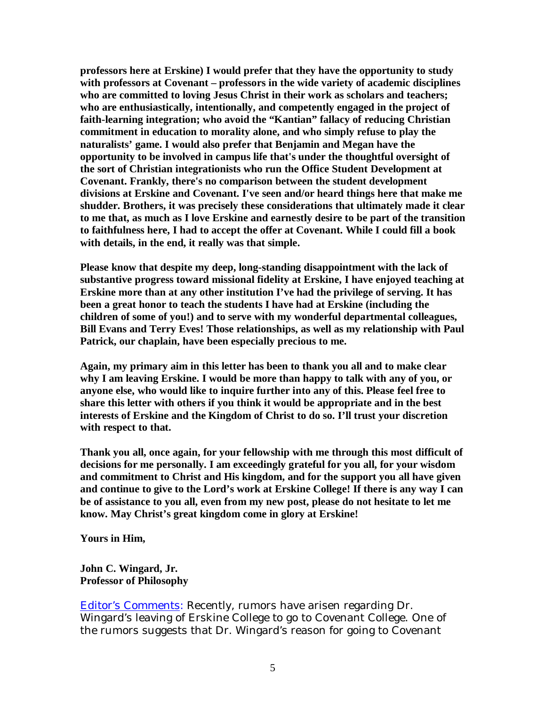**professors here at Erskine) I would prefer that they have the opportunity to study with professors at Covenant – professors in the wide variety of academic disciplines who are committed to loving Jesus Christ in their work as scholars and teachers; who are enthusiastically, intentionally, and competently engaged in the project of faith-learning integration; who avoid the "Kantian" fallacy of reducing Christian commitment in education to morality alone, and who simply refuse to play the naturalists' game. I would also prefer that Benjamin and Megan have the opportunity to be involved in campus life that's under the thoughtful oversight of the sort of Christian integrationists who run the Office Student Development at Covenant. Frankly, there's no comparison between the student development divisions at Erskine and Covenant. I've seen and/or heard things here that make me shudder. Brothers, it was precisely these considerations that ultimately made it clear to me that, as much as I love Erskine and earnestly desire to be part of the transition to faithfulness here, I had to accept the offer at Covenant. While I could fill a book with details, in the end, it really was that simple.**

**Please know that despite my deep, long-standing disappointment with the lack of substantive progress toward missional fidelity at Erskine, I have enjoyed teaching at Erskine more than at any other institution I've had the privilege of serving. It has been a great honor to teach the students I have had at Erskine (including the children of some of you!) and to serve with my wonderful departmental colleagues, Bill Evans and Terry Eves! Those relationships, as well as my relationship with Paul Patrick, our chaplain, have been especially precious to me.**

**Again, my primary aim in this letter has been to thank you all and to make clear why I am leaving Erskine. I would be more than happy to talk with any of you, or anyone else, who would like to inquire further into any of this. Please feel free to share this letter with others if you think it would be appropriate and in the best interests of Erskine and the Kingdom of Christ to do so. I'll trust your discretion with respect to that.**

**Thank you all, once again, for your fellowship with me through this most difficult of decisions for me personally. I am exceedingly grateful for you all, for your wisdom and commitment to Christ and His kingdom, and for the support you all have given and continue to give to the Lord's work at Erskine College! If there is any way I can be of assistance to you all, even from my new post, please do not hesitate to let me know. May Christ's great kingdom come in glory at Erskine!**

**Yours in Him,**

**John C. Wingard, Jr. Professor of Philosophy**

Editor's Comments: Recently, rumors have arisen regarding Dr. Wingard's leaving of Erskine College to go to Covenant College. One of the rumors suggests that Dr. Wingard's reason for going to Covenant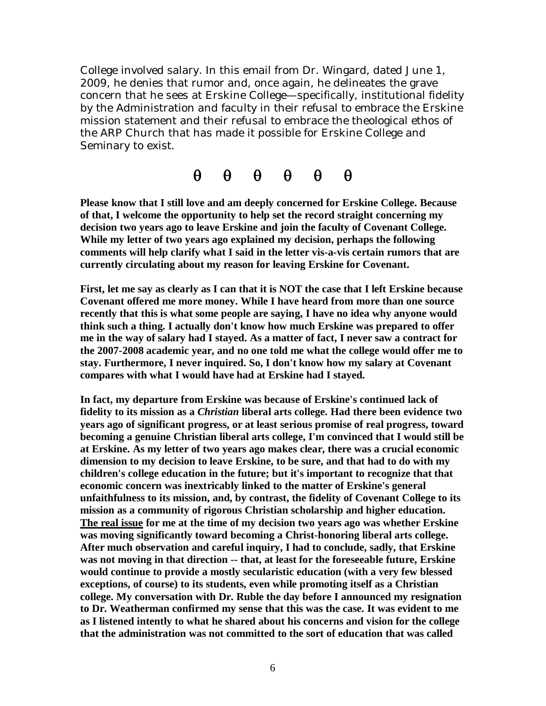College involved salary. In this email from Dr. Wingard, dated June 1, 2009, he denies that rumor and, once again, he delineates the grave concern that he sees at Erskine College—specifically, institutional fidelity by the Administration and faculty in their refusal to embrace the Erskine mission statement and their refusal to embrace the theological ethos of the ARP Church that has made it possible for Erskine College and Seminary to exist.

 $\theta$   $\theta$   $\theta$   $\theta$   $\theta$   $\theta$ 

**Please know that I still love and am deeply concerned for Erskine College. Because of that, I welcome the opportunity to help set the record straight concerning my decision two years ago to leave Erskine and join the faculty of Covenant College. While my letter of two years ago explained my decision, perhaps the following comments will help clarify what I said in the letter vis-a-vis certain rumors that are currently circulating about my reason for leaving Erskine for Covenant.**

First, let me say as clearly as I can that it is NOT the case that I left Erskine because **Covenant offered me more money. While I have heard from more than one source recently that this is what some people are saying, I have no idea why anyone would think such a thing. I actually don't know how much Erskine was prepared to offer** me in the way of salary had I stayed. As a matter of fact, I never saw a contract for **the 2007-2008 academic year, and no one told me what the college would offer me to stay. Furthermore, I never inquired. So, I don't know how my salary at Covenant compares with what I would have had at Erskine had I stayed.**

**In fact, my departure from Erskine was because of Erskine's continued lack of fidelity to its mission as a** *Christian* **liberal arts college. Had there been evidence two years ago of significant progress, or at least serious promise of real progress, toward becoming a genuine Christian liberal arts college, I'm convinced that I would still be at Erskine. As my letter of two years ago makes clear, there was a crucial economic dimension to my decision to leave Erskine, to be sure, and that had to do with my children's college education in the future; but it's important to recognize that that economic concern was inextricably linked to the matter of Erskine's general unfaithfulness to its mission, and, by contrast, the fidelity of Covenant College to its mission as a community of rigorous Christian scholarship and higher education. The real issue for me at the time of my decision two years ago was whether Erskine was moving significantly toward becoming a Christ-honoring liberal arts college. After much observation and careful inquiry, I had to conclude, sadly, that Erskine was not moving in that direction -- that, at least for the foreseeable future, Erskine would continue to provide a mostly secularistic education (with a very few blessed exceptions, of course) to its students, even while promoting itself as a Christian college. My conversation with Dr. Ruble the day before I announced my resignation to Dr. Weatherman confirmed my sense that this was the case. It was evident to me as I listened intently to what he shared about his concerns and vision for the college that the administration was not committed to the sort of education that was called**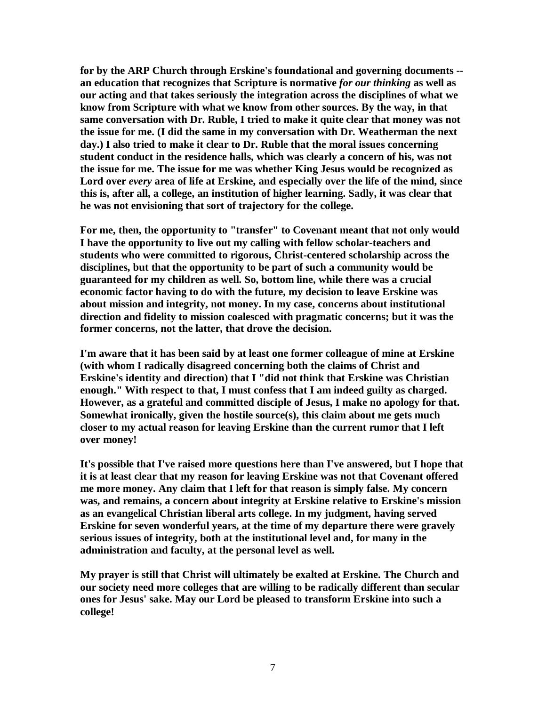**for by the ARP Church through Erskine's foundational and governing documents - an education that recognizes that Scripture is normative** *for our thinking* **as well as our acting and that takes seriously the integration across the disciplines of what we know from Scripture with what we know from other sources. By the way, in that same conversation with Dr. Ruble, I tried to make it quite clear that money was not the issue for me. (I did the same in my conversation with Dr. Weatherman the next day.) I also tried to make it clear to Dr. Ruble that the moral issues concerning student conduct in the residence halls, which was clearly a concern of his, was not the issue for me. The issue for me was whether King Jesus would be recognized as Lord over** *every* **area of life at Erskine, and especially over the life of the mind, since this is, after all, a college, an institution of higher learning. Sadly, it was clear that he was not envisioning that sort of trajectory for the college.**

**For me, then, the opportunity to "transfer" to Covenant meant that not only would I have the opportunity to live out my calling with fellow scholar-teachers and students who were committed to rigorous, Christ-centered scholarship across the disciplines, but that the opportunity to be part of such a community would be guaranteed for my children as well. So, bottom line, while there was a crucial economic factor having to do with the future, my decision to leave Erskine was about mission and integrity, not money. In my case, concerns about institutional direction and fidelity to mission coalesced with pragmatic concerns; but it was the former concerns, not the latter, that drove the decision.**

**I'm aware that it has been said by at least one former colleague of mine at Erskine (with whom I radically disagreed concerning both the claims of Christ and Erskine's identity and direction) that I "did not think that Erskine was Christian enough." With respect to that, I must confess that I am indeed guilty as charged. However, as a grateful and committed disciple of Jesus, I make no apology for that. Somewhat ironically, given the hostile source(s), this claim about me gets much closer to my actual reason for leaving Erskine than the current rumor that I left over money!**

**It's possible that I've raised more questions here than I've answered, but I hope that it is at least clear that my reason for leaving Erskine was not that Covenant offered me more money. Any claim that I left for that reason is simply false. My concern was, and remains, a concern about integrity at Erskine relative to Erskine's mission as an evangelical Christian liberal arts college. In my judgment, having served Erskine for seven wonderful years, at the time of my departure there were gravely serious issues of integrity, both at the institutional level and, for many in the administration and faculty, at the personal level as well.**

**My prayer is still that Christ will ultimately be exalted at Erskine. The Church and our society need more colleges that are willing to be radically different than secular ones for Jesus' sake. May our Lord be pleased to transform Erskine into such a college!**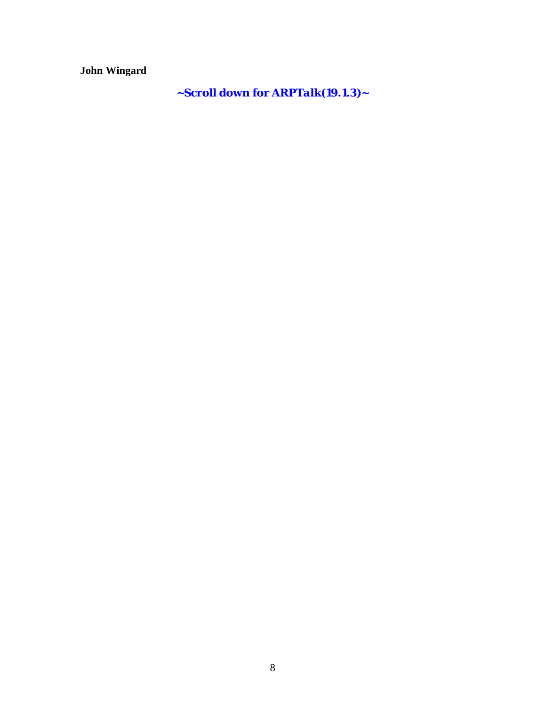**John Wingard**

**~Scroll down for** *ARPTalk(19.1.3)~*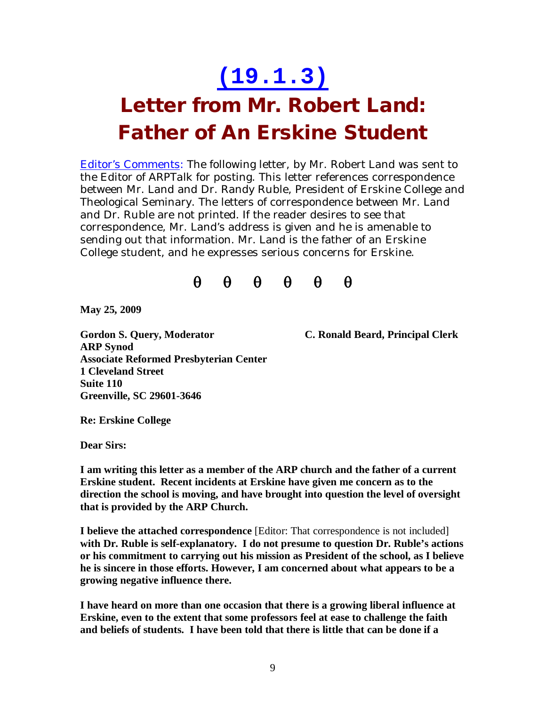### **(19.1.3)**

#### **Letter from Mr. Robert Land: Father of An Erskine Student**

**Editor's Comments:** The following letter, by Mr. Robert Land was sent to the Editor of *ARPTalk* for posting. This letter references correspondence between Mr. Land and Dr. Randy Ruble, President of Erskine College and Theological Seminary. The letters of correspondence between Mr. Land and Dr. Ruble are not printed. If the reader desires to see that correspondence, Mr. Land's address is given and he is amenable to sending out that information. Mr. Land is the father of an Erskine College student, and he expresses serious concerns for Erskine.



**May 25, 2009**

**Gordon S. Query, Moderator C. Ronald Beard, Principal Clerk ARP Synod Associate Reformed Presbyterian Center 1 Cleveland Street Suite 110 Greenville, SC 29601-3646**

**Re: Erskine College**

**Dear Sirs:**

**I am writing this letter as a member of the ARP church and the father of a current Erskine student. Recent incidents at Erskine have given me concern as to the direction the school is moving, and have brought into question the level of oversight that is provided by the ARP Church.**

**I believe the attached correspondence** [Editor: That correspondence is not included] **with Dr. Ruble is self-explanatory. I do not presume to question Dr. Ruble's actions or his commitment to carrying out his mission as President of the school, as I believe he is sincere in those efforts. However, I am concerned about what appears to be a growing negative influence there.**

**I have heard on more than one occasion that there is a growing liberal influence at Erskine, even to the extent that some professors feel at ease to challenge the faith and beliefs of students. I have been told that there is little that can be done if a**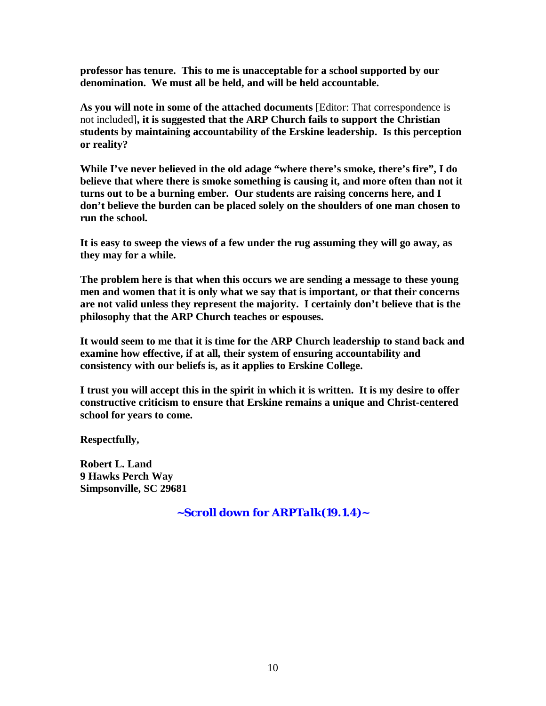**professor has tenure. This to me is unacceptable for a school supported by our denomination. We must all be held, and will be held accountable.**

**As you will note in some of the attached documents** [Editor: That correspondence is not included]**, it is suggested that the ARP Church fails to support the Christian students by maintaining accountability of the Erskine leadership. Is this perception or reality?**

**While I've never believed in the old adage "where there's smoke, there's fire", I do believe that where there is smoke something is causing it, and more often than not it turns out to be a burning ember. Our students are raising concerns here, and I don't believe the burden can be placed solely on the shoulders of one man chosen to run the school.**

**It is easy to sweep the views of a few under the rug assuming they will go away, as they may for a while.**

**The problem here is that when this occurs we are sending a message to these young men and women that it is only what we say that is important, or that their concerns are not valid unless they represent the majority. I certainly don't believe that is the philosophy that the ARP Church teaches or espouses.**

**It would seem to me that it is time for the ARP Church leadership to stand back and examine how effective, if at all, their system of ensuring accountability and consistency with our beliefs is, as it applies to Erskine College.**

I trust you will accept this in the spirit in which it is written. It is my desire to offer **constructive criticism to ensure that Erskine remains a unique and Christ-centered school for years to come.**

**Respectfully,**

**Robert L. Land 9 Hawks Perch Way Simpsonville, SC 29681**

**~Scroll down for** *ARPTalk(19.1.4)~*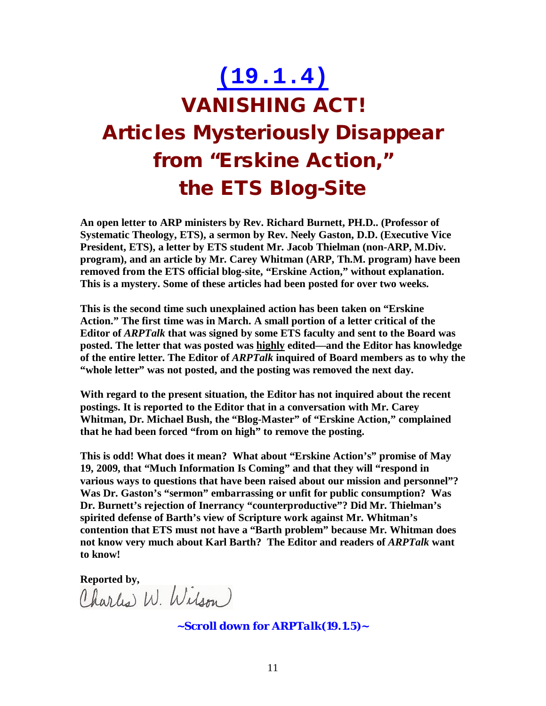## **(19.1.4) VANISHING ACT! Articles Mysteriously Disappear from "Erskine Action, " the ETS Blog-Site**

**An open letter to ARP ministers by Rev. Richard Burnett, PH.D.. (Professor of Systematic Theology, ETS), a sermon by Rev. Neely Gaston, D.D. (Executive Vice President, ETS), a letter by ETS student Mr. Jacob Thielman (non-ARP, M.Div. program), and an article by Mr. Carey Whitman (ARP, Th.M. program) have been removed from the ETS official blog-site, "Erskine Action," without explanation. This is a mystery. Some of these articles had been posted for over two weeks.**

**This is the second time such unexplained action has been taken on "Erskine Action." The first time was in March. A small portion of a letter critical of the Editor of** *ARPTalk* **that was signed by some ETS faculty and sent to the Board was posted. The letter that was posted was highly edited—and the Editor has knowledge of the entire letter. The Editor of** *ARPTalk* **inquired of Board members as to why the "whole letter" was not posted, and the posting was removed the next day.**

**With regard to the present situation, the Editor has not inquired about the recent postings. It is reported to the Editor that in a conversation with Mr. Carey Whitman, Dr. Michael Bush, the "Blog-Master" of "Erskine Action," complained that he had been forced "from on high" to remove the posting.**

**This is odd! What does it mean? What about "Erskine Action's" promise of May 19, 2009, that "Much Information Is Coming" and that they will "respond in various ways to questions that have been raised about our mission and personnel"? Was Dr. Gaston's "sermon" embarrassing or unfit for public consumption? Was Dr. Burnett's rejection of Inerrancy "counterproductive"? Did Mr. Thielman's spirited defense of Barth's view of Scripture work against Mr. Whitman's contention that ETS must not have a "Barth problem" because Mr. Whitman does not know very much about Karl Barth? The Editor and readers of** *ARPTalk* **want to know!**

Reported by,<br>Charles W. Wilson)

**~Scroll down for** *ARPTalk(19.1.5)~*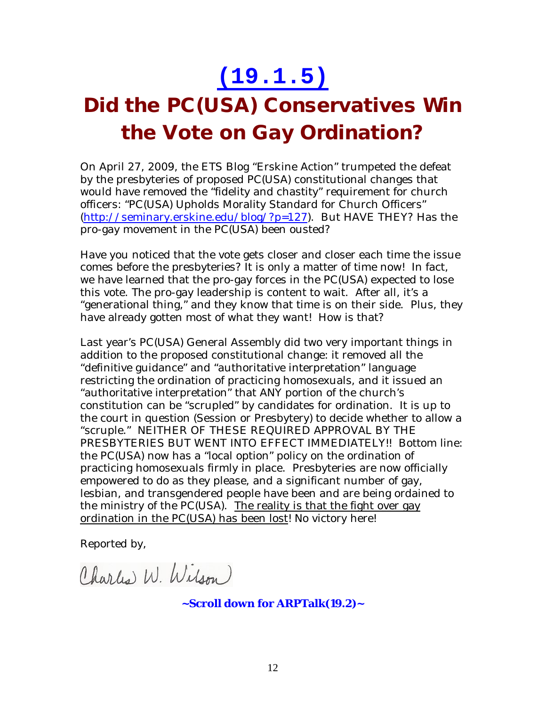#### **(19.1.5)**

### **Did the PC(USA) Conservatives Win the Vote on Gay Ordination?**

On April 27, 2009, the ETS Blog "Erskine Action" trumpeted the defeat by the presbyteries of proposed PC(USA) constitutional changes that would have removed the "fidelity and chastity" requirement for church officers: "PC(USA) Upholds Morality Standard for Church Officers" (http://seminary.erskine.edu/blog/?p=127). But HAVE THEY? Has the pro-gay movement in the PC(USA) been ousted?

Have you noticed that the vote gets closer and closer each time the issue comes before the presbyteries? It is only a matter of time now! In fact, we have learned that the pro-gay forces in the PC(USA) expected to lose this vote. The pro-gay leadership is content to wait. After all, it's a "generational thing," and they know that time is on their side. Plus, they have already gotten most of what they want! How is that?

Last year's PC(USA) General Assembly did two very important things in addition to the proposed constitutional change: it removed all the "definitive guidance" and "authoritative interpretation" language restricting the ordination of practicing homosexuals, and it issued an "authoritative interpretation" that ANY portion of the church's constitution can be "scrupled" by candidates for ordination. It is up to the court in question (Session or Presbytery) to decide whether to allow a "scruple." NEITHER OF THESE REQUIRED APPROVAL BY THE PRESBYTERIES BUT WENT INTO EFFECT IMMEDIATELY!! Bottom line: the PC(USA) now has a "local option" policy on the ordination of practicing homosexuals firmly in place. Presbyteries are now officially empowered to do as they please, and a significant number of gay, lesbian, and transgendered people have been and are being ordained to the ministry of the PC(USA). The reality is that the fight over gay ordination in the PC(USA) has been lost! No victory here!

Reported by,

Charles W. Wilson

**~Scroll down for ARPTalk***(19.2)~*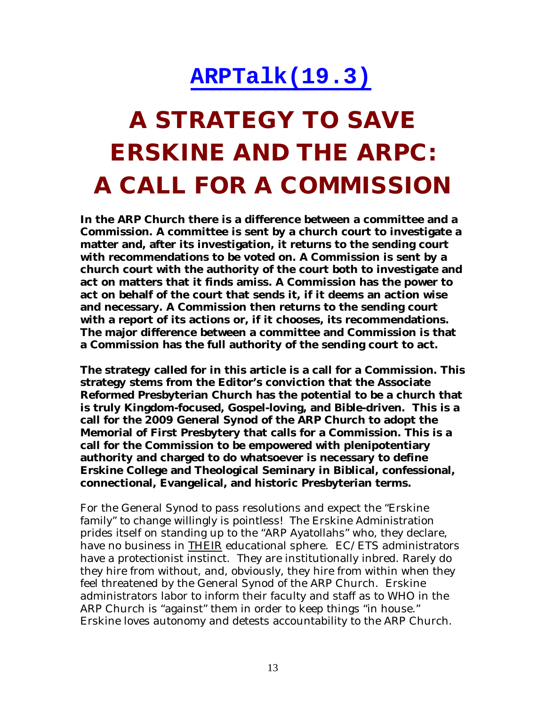#### **ARPTalk(19.3)**

# **A STRATEGY TO SAVE ERSKINE AND THE ARPC: A CALL FOR A COMMISSION**

**In the ARP Church there is a difference between a committee and a Commission. A committee is sent by a church court to investigate a matter and, after its investigation, it returns to the sending court with recommendations to be voted on. A Commission is sent by a church court with the authority of the court both to investigate and act on matters that it finds amiss. A Commission has the power to act on behalf of the court that sends it, if it deems an action wise and necessary. A Commission then returns to the sending court with a report of its actions or, if it chooses, its recommendations. The major difference between a committee and Commission is that a Commission has the full authority of the sending court to act.**

**The strategy called for in this article is a call for a Commission. This strategy stems from the Editor's conviction that the Associate Reformed Presbyterian Church has the potential to be a church that is truly Kingdom-focused, Gospel-loving, and Bible-driven. This is a call for the 2009 General Synod of the ARP Church to adopt the Memorial of First Presbytery that calls for a Commission. This is a call for the Commission to be empowered with plenipotentiary authority and charged to do whatsoever is necessary to define Erskine College and Theological Seminary in Biblical, confessional, connectional, Evangelical, and historic Presbyterian terms.**

For the General Synod to pass resolutions and expect the "Erskine family" to change willingly is pointless! The Erskine Administration prides itself on standing up to the "ARP Ayatollahs" who, they declare, have no business in THEIR educational sphere. EC/ETS administrators have a protectionist instinct. They are institutionally inbred. Rarely do they hire from without, and, obviously, they hire from within when they feel threatened by the General Synod of the ARP Church. Erskine administrators labor to inform their faculty and staff as to WHO in the ARP Church is "against" them in order to keep things "in house." Erskine loves autonomy and detests accountability to the ARP Church.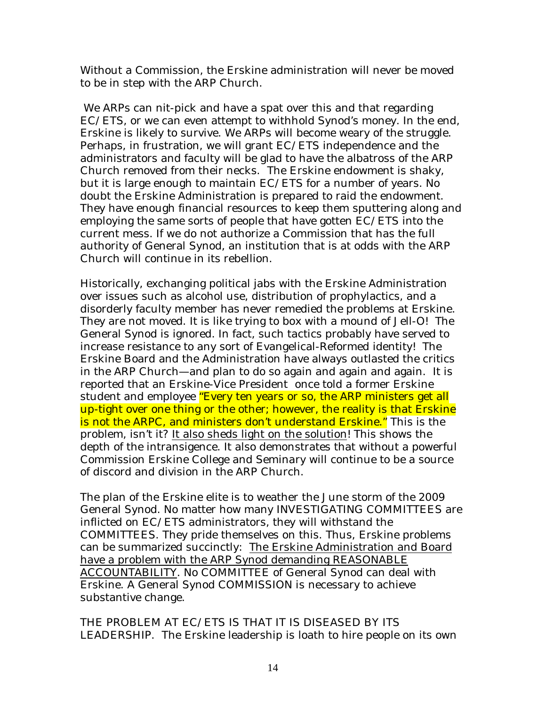Without a Commission, the Erskine administration will never be moved to be in step with the ARP Church.

We ARPs can nit-pick and have a spat over this and that regarding EC/ETS, or we can even attempt to withhold Synod's money. In the end, Erskine is likely to survive. We ARPs will become weary of the struggle. Perhaps, in frustration, we will grant EC/ETS independence and the administrators and faculty will be glad to have the albatross of the ARP Church removed from their necks. The Erskine endowment is shaky, but it is large enough to maintain EC/ETS for a number of years. No doubt the Erskine Administration is prepared to raid the endowment. They have enough financial resources to keep them sputtering along and employing the same sorts of people that have gotten EC/ETS into the current mess. If we do not authorize a Commission that has the full authority of General Synod, an institution that is at odds with the ARP Church will continue in its rebellion.

Historically, exchanging political jabs with the Erskine Administration over issues such as alcohol use, distribution of prophylactics, and a disorderly faculty member has never remedied the problems at Erskine. They are not moved. It is like trying to box with a mound of Jell-O! The General Synod is ignored. In fact, such tactics probably have served to increase resistance to any sort of Evangelical-Reformed identity! The Erskine Board and the Administration have always outlasted the critics in the ARP Church—and plan to do so again and again and again. It is reported that an Erskine-Vice President once told a former Erskine student and employee "Every ten years or so, the ARP ministers get all up-tight over one thing or the other; however, the reality is that Erskine is not the ARPC, and ministers don't understand Erskine." This is the problem, isn't it? It also sheds light on the solution! This shows the depth of the intransigence. It also demonstrates that without a powerful Commission Erskine College and Seminary will continue to be a source of discord and division in the ARP Church.

The plan of the Erskine elite is to weather the June storm of the 2009 General Synod. No matter how many INVESTIGATING COMMITTEES are inflicted on EC/ETS administrators, they will withstand the COMMITTEES. They pride themselves on this. Thus, Erskine problems can be summarized succinctly: The Erskine Administration and Board have a problem with the ARP Synod demanding REASONABLE ACCOUNTABILITY. No COMMITTEE of General Synod can deal with Erskine. A General Synod COMMISSION is necessary to achieve substantive change.

THE PROBLEM AT EC/ETS IS THAT IT IS DISEASED BY ITS LEADERSHIP. The Erskine leadership is loath to hire people on its own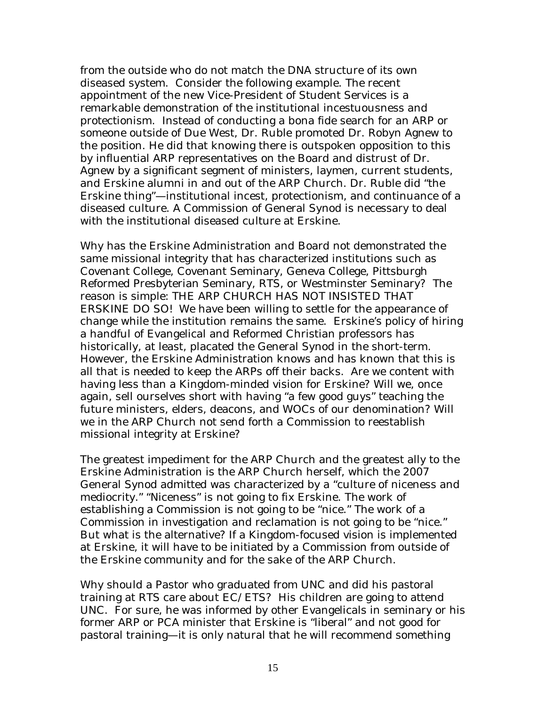from the outside who do not match the DNA structure of its own diseased system. Consider the following example. The recent appointment of the new Vice-President of Student Services is a remarkable demonstration of the institutional incestuousness and protectionism. Instead of conducting a bona fide search for an ARP or someone outside of Due West, Dr. Ruble promoted Dr. Robyn Agnew to the position. He did that knowing there is outspoken opposition to this by influential ARP representatives on the Board and distrust of Dr. Agnew by a significant segment of ministers, laymen, current students, and Erskine alumni in and out of the ARP Church. Dr. Ruble did "the Erskine thing"—institutional incest, protectionism, and continuance of a diseased culture. A Commission of General Synod is necessary to deal with the institutional diseased culture at Erskine.

Why has the Erskine Administration and Board not demonstrated the same missional integrity that has characterized institutions such as Covenant College, Covenant Seminary, Geneva College, Pittsburgh Reformed Presbyterian Seminary, RTS, or Westminster Seminary? The reason is simple: THE ARP CHURCH HAS NOT INSISTED THAT ERSKINE DO SO! We have been willing to settle for the appearance of change while the institution remains the same. Erskine's policy of hiring a handful of Evangelical and Reformed Christian professors has historically, at least, placated the General Synod in the short-term. However, the Erskine Administration knows and has known that this is all that is needed to keep the ARPs off their backs. Are we content with having less than a Kingdom-minded vision for Erskine? Will we, once again, sell ourselves short with having "a few good guys" teaching the future ministers, elders, deacons, and WOCs of our denomination? Will we in the ARP Church not send forth a Commission to reestablish missional integrity at Erskine?

The greatest impediment for the ARP Church and the greatest ally to the Erskine Administration is the ARP Church herself, which the 2007 General Synod admitted was characterized by a "culture of niceness and mediocrity." "Niceness" is not going to fix Erskine. The work of establishing a Commission is not going to be "nice." The work of a Commission in investigation and reclamation is not going to be "nice." But what is the alternative? If a Kingdom-focused vision is implemented at Erskine, it will have to be initiated by a Commission from outside of the Erskine community and for the sake of the ARP Church.

Why should a Pastor who graduated from UNC and did his pastoral training at RTS care about EC/ETS? His children are going to attend UNC. For sure, he was informed by other Evangelicals in seminary or his former ARP or PCA minister that Erskine is "liberal" and not good for pastoral training—it is only natural that he will recommend something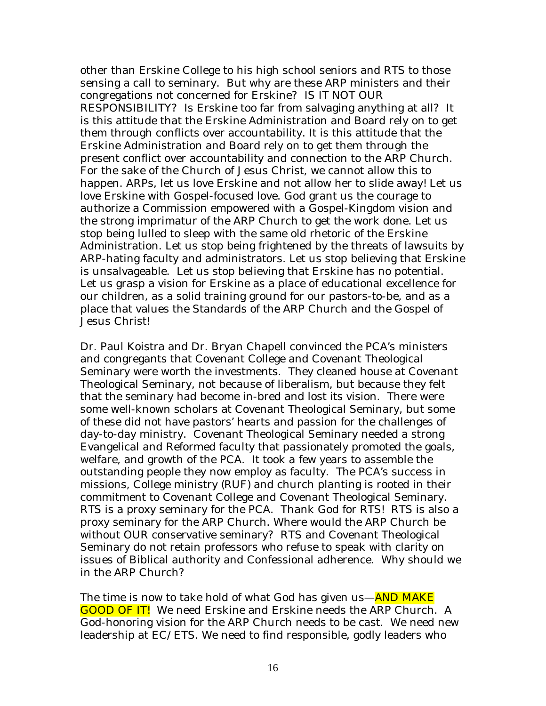other than Erskine College to his high school seniors and RTS to those sensing a call to seminary. But why are these ARP ministers and their congregations not concerned for Erskine? IS IT NOT OUR RESPONSIBILITY? Is Erskine too far from salvaging anything at all? It is this attitude that the Erskine Administration and Board rely on to get them through conflicts over accountability. It is this attitude that the Erskine Administration and Board rely on to get them through the present conflict over accountability and connection to the ARP Church. For the sake of the Church of Jesus Christ, we cannot allow this to happen. ARPs, let us love Erskine and not allow her to slide away! Let us love Erskine with Gospel-focused love. God grant us the courage to authorize a Commission empowered with a Gospel-Kingdom vision and the strong imprimatur of the ARP Church to get the work done. Let us stop being lulled to sleep with the same old rhetoric of the Erskine Administration. Let us stop being frightened by the threats of lawsuits by ARP-hating faculty and administrators. Let us stop believing that Erskine is unsalvageable. Let us stop believing that Erskine has no potential. Let us grasp a vision for Erskine as a place of educational excellence for our children, as a solid training ground for our pastors-to-be, and as a place that values the Standards of the ARP Church and the Gospel of Jesus Christ!

Dr. Paul Koistra and Dr. Bryan Chapell convinced the PCA's ministers and congregants that Covenant College and Covenant Theological Seminary were worth the investments. They cleaned house at Covenant Theological Seminary, not because of liberalism, but because they felt that the seminary had become in-bred and lost its vision. There were some well-known scholars at Covenant Theological Seminary, but some of these did not have pastors' hearts and passion for the challenges of day-to-day ministry. Covenant Theological Seminary needed a strong Evangelical and Reformed faculty that passionately promoted the goals, welfare, and growth of the PCA. It took a few years to assemble the outstanding people they now employ as faculty. The PCA's success in missions, College ministry (RUF) and church planting is rooted in their commitment to Covenant College and Covenant Theological Seminary. RTS is a proxy seminary for the PCA. Thank God for RTS! RTS is also a proxy seminary for the ARP Church. Where would the ARP Church be without OUR conservative seminary? RTS and Covenant Theological Seminary do not retain professors who refuse to speak with clarity on issues of Biblical authority and Confessional adherence. Why should we in the ARP Church?

The time is now to take hold of what God has given us—AND MAKE GOOD OF IT! We need Erskine and Erskine needs the ARP Church. A God-honoring vision for the ARP Church needs to be cast. We need new leadership at EC/ETS. We need to find responsible, godly leaders who